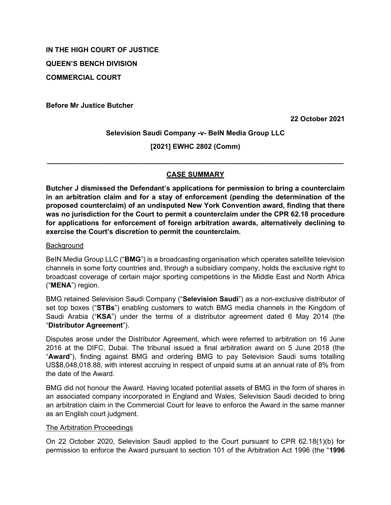# **IN THE HIGH COURT OF JUSTICE QUEEN'S BENCH DIVISION**

**COMMERCIAL COURT**

**Before Mr Justice Butcher**

**22 October 2021**

**Selevision Saudi Company -v- BeIN Media Group LLC**

**[2021] EWHC 2802 (Comm)**

**\_\_\_\_\_\_\_\_\_\_\_\_\_\_\_\_\_\_\_\_\_\_\_\_\_\_\_\_\_\_\_\_\_\_\_\_\_\_\_\_\_\_\_\_\_\_\_\_\_\_\_\_\_\_\_\_\_\_\_\_\_\_\_\_\_\_\_\_\_\_\_\_\_\_\_\_**

## **CASE SUMMARY**

**Butcher J dismissed the Defendant's applications for permission to bring a counterclaim in an arbitration claim and for a stay of enforcement (pending the determination of the proposed counterclaim) of an undisputed New York Convention award, finding that there was no jurisdiction for the Court to permit a counterclaim under the CPR 62.18 procedure for applications for enforcement of foreign arbitration awards, alternatively declining to exercise the Court's discretion to permit the counterclaim.** 

**Background** 

BeIN Media Group LLC ("**BMG**") is a broadcasting organisation which operates satellite television channels in some forty countries and, through a subsidiary company, holds the exclusive right to broadcast coverage of certain major sporting competitions in the Middle East and North Africa ("**MENA**") region.

BMG retained Selevision Saudi Company ("**Selevision Saudi**") as a non-exclusive distributor of set top boxes ("**STBs**") enabling customers to watch BMG media channels in the Kingdom of Saudi Arabia ("**KSA**") under the terms of a distributor agreement dated 6 May 2014 (the "**Distributor Agreement**").

Disputes arose under the Distributor Agreement, which were referred to arbitration on 16 June 2016 at the DIFC, Dubai. The tribunal issued a final arbitration award on 5 June 2018 (the "**Award**"), finding against BMG and ordering BMG to pay Selevision Saudi sums totalling US\$8,048,018.88, with interest accruing in respect of unpaid sums at an annual rate of 8% from the date of the Award.

BMG did not honour the Award. Having located potential assets of BMG in the form of shares in an associated company incorporated in England and Wales, Selevision Saudi decided to bring an arbitration claim in the Commercial Court for leave to enforce the Award in the same manner as an English court judgment.

## The Arbitration Proceedings

On 22 October 2020, Selevision Saudi applied to the Court pursuant to CPR 62.18(1)(b) for permission to enforce the Award pursuant to section 101 of the Arbitration Act 1996 (the "**1996**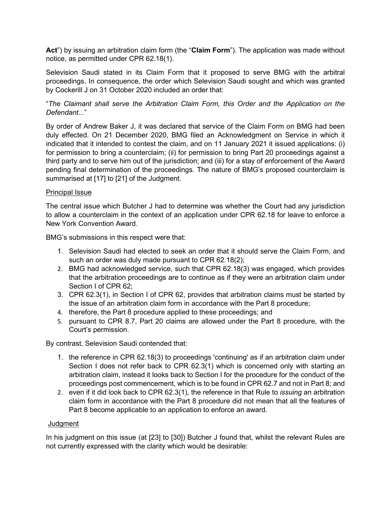**Act**") by issuing an arbitration claim form (the "**Claim Form**"). The application was made without notice, as permitted under CPR 62.18(1).

Selevision Saudi stated in its Claim Form that it proposed to serve BMG with the arbitral proceedings. In consequence, the order which Selevision Saudi sought and which was granted by Cockerill J on 31 October 2020 included an order that:

"*The Claimant shall serve the Arbitration Claim Form, this Order and the Application on the Defendant...*"

By order of Andrew Baker J, it was declared that service of the Claim Form on BMG had been duly effected. On 21 December 2020, BMG filed an Acknowledgment on Service in which it indicated that it intended to contest the claim, and on 11 January 2021 it issued applications: (i) for permission to bring a counterclaim; (ii) for permission to bring Part 20 proceedings against a third party and to serve him out of the jurisdiction; and (iii) for a stay of enforcement of the Award pending final determination of the proceedings. The nature of BMG's proposed counterclaim is summarised at [17] to [21] of the Judgment.

### Principal Issue

The central issue which Butcher J had to determine was whether the Court had any jurisdiction to allow a counterclaim in the context of an application under CPR 62.18 for leave to enforce a New York Convention Award.

BMG's submissions in this respect were that:

- 1. Selevision Saudi had elected to seek an order that it should serve the Claim Form, and such an order was duly made pursuant to CPR 62.18(2);
- 2. BMG had acknowledged service, such that CPR 62.18(3) was engaged, which provides that the arbitration proceedings are to continue as if they were an arbitration claim under Section I of CPR 62;
- 3. CPR 62.3(1), in Section I of CPR 62, provides that arbitration claims must be started by the issue of an arbitration claim form in accordance with the Part 8 procedure;
- 4. therefore, the Part 8 procedure applied to these proceedings; and
- 5. pursuant to CPR 8.7, Part 20 claims are allowed under the Part 8 procedure, with the Court's permission.

By contrast, Selevision Saudi contended that:

- 1. the reference in CPR 62.18(3) to proceedings 'continuing' as if an arbitration claim under Section I does not refer back to CPR 62.3(1) which is concerned only with starting an arbitration claim, instead it looks back to Section I for the procedure for the conduct of the proceedings post commencement, which is to be found in CPR 62.7 and not in Part 8; and
- 2. even if it did look back to CPR 62.3(1), the reference in that Rule to *issuing* an arbitration claim form in accordance with the Part 8 procedure did not mean that all the features of Part 8 become applicable to an application to enforce an award.

#### Judgment

In his judgment on this issue (at [23] to [30]) Butcher J found that, whilst the relevant Rules are not currently expressed with the clarity which would be desirable: